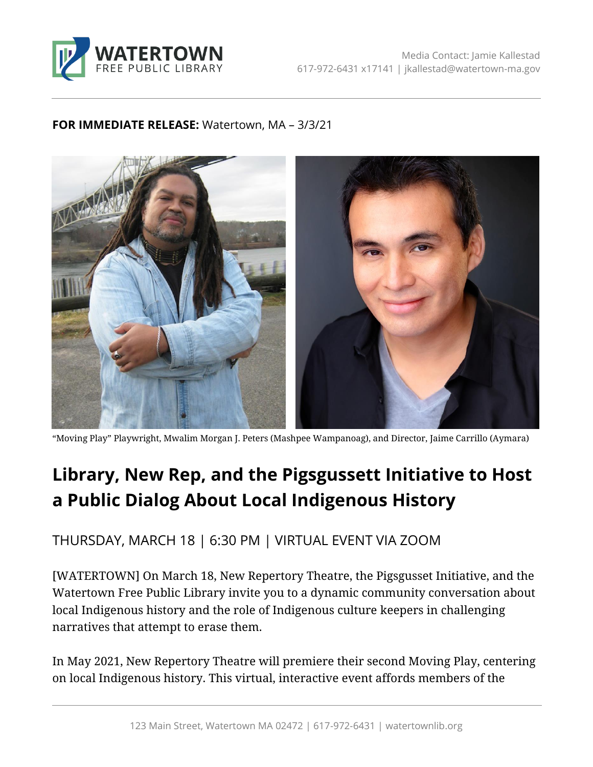

## **FOR IMMEDIATE RELEASE:** Watertown, MA – 3/3/21



"Moving Play" Playwright, Mwalim Morgan J. Peters (Mashpee Wampanoag), and Director, Jaime Carrillo (Aymara)

## **Library, New Rep, and the Pigsgussett Initiative to Host a Public Dialog About Local Indigenous History**

THURSDAY, MARCH 18 | 6:30 PM | VIRTUAL EVENT VIA ZOOM

[WATERTOWN] On March 18, New Repertory Theatre, the Pigsgusset Initiative, and the Watertown Free Public Library invite you to a dynamic community conversation about local Indigenous history and the role of Indigenous culture keepers in challenging narratives that attempt to erase them.

In May 2021, New Repertory Theatre will premiere their second Moving Play, centering on local Indigenous history. This virtual, interactive event affords members of the